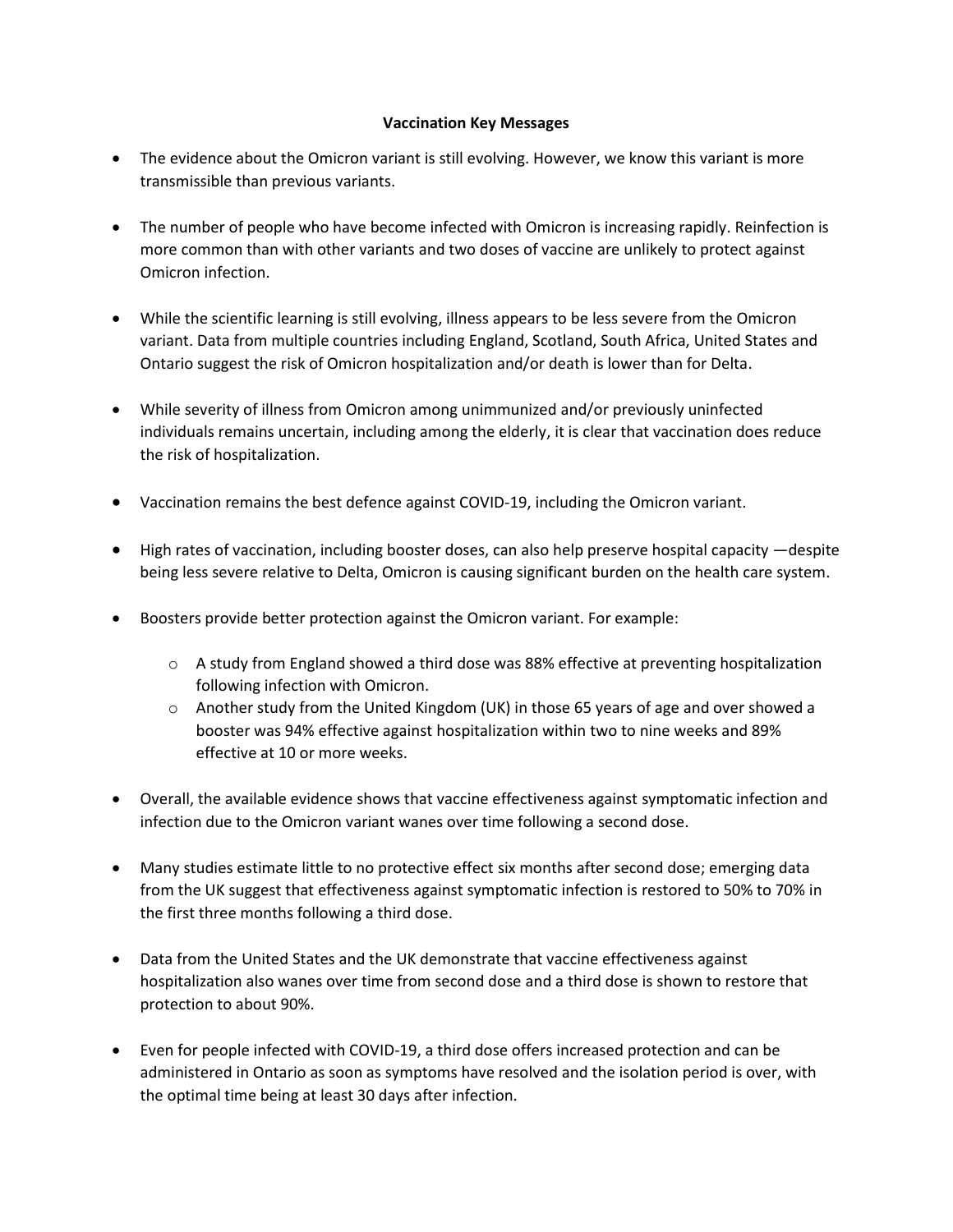## **Vaccination Key Messages**

- The evidence about the Omicron variant is still evolving. However, we know this variant is more transmissible than previous variants.
- The number of people who have become infected with Omicron is increasing rapidly. Reinfection is more common than with other variants and two doses of vaccine are unlikely to protect against Omicron infection.
- While the scientific learning is still evolving, illness appears to be less severe from the Omicron variant. Data from multiple countries including England, Scotland, South Africa, United States and Ontario suggest the risk of Omicron hospitalization and/or death is lower than for Delta.
- While severity of illness from Omicron among unimmunized and/or previously uninfected individuals remains uncertain, including among the elderly, it is clear that vaccination does reduce the risk of hospitalization.
- Vaccination remains the best defence against COVID-19, including the Omicron variant.
- High rates of vaccination, including booster doses, can also help preserve hospital capacity —despite being less severe relative to Delta, Omicron is causing significant burden on the health care system.
- Boosters provide better protection against the Omicron variant. For example:
	- $\circ$  A study from England showed a third dose was 88% effective at preventing hospitalization following infection with Omicron.
	- $\circ$  Another study from the United Kingdom (UK) in those 65 years of age and over showed a booster was 94% effective against hospitalization within two to nine weeks and 89% effective at 10 or more weeks.
- Overall, the available evidence shows that vaccine effectiveness against symptomatic infection and infection due to the Omicron variant wanes over time following a second dose.
- Many studies estimate little to no protective effect six months after second dose; emerging data from the UK suggest that effectiveness against symptomatic infection is restored to 50% to 70% in the first three months following a third dose.
- Data from the United States and the UK demonstrate that vaccine effectiveness against hospitalization also wanes over time from second dose and a third dose is shown to restore that protection to about 90%.
- Even for people infected with COVID-19, a third dose offers increased protection and can be administered in Ontario as soon as symptoms have resolved and the isolation period is over, with the optimal time being at least 30 days after infection.